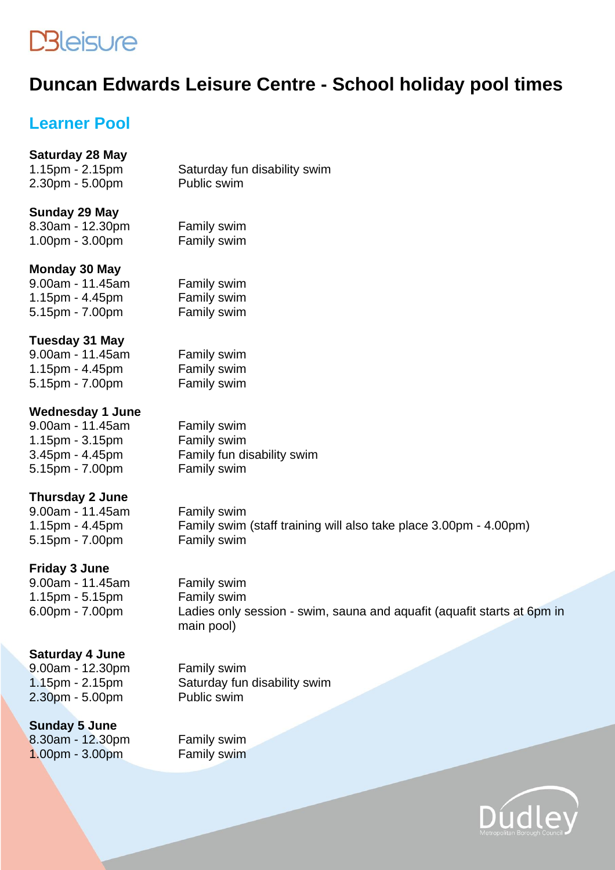# **DBleisure**

# **Duncan Edwards Leisure Centre - School holiday pool times**

## **Learner Pool**

#### **Saturday 28 May**

1.15pm - 2.15pm Saturday fun disability swim<br>2.30pm - 5.00pm Public swim  $2.30$ pm -  $5.00$ pm

#### **Sunday 29 May**

8.30am - 12.30pm Family swim 1.00pm - 3.00pm Family swim

#### **Monday 30 May**

9.00am - 11.45am Family swim 1.15pm - 4.45pm Family swim 5.15pm - 7.00pm Family swim

#### **Tuesday 31 May**

9.00am - 11.45am Family swim 1.15pm - 4.45pm Family swim 5.15pm - 7.00pm Family swim

#### **Wednesday 1 June**

9.00am - 11.45am Family swim<br>1.15pm - 3.15pm Family swim  $1.15$ pm -  $3.15$ pm 5.15pm - 7.00pm Family swim

3.45pm - 4.45pm Family fun disability swim

#### **Thursday 2 June**

9.00am - 11.45am Family swim 5.15pm - 7.00pm Family swim

1.15pm - 4.45pm Family swim (staff training will also take place 3.00pm - 4.00pm)

#### **Friday 3 June**

9.00am - 11.45am Family swim 1.15pm - 5.15pm Family swim

6.00pm - 7.00pm Ladies only session - swim, sauna and aquafit (aquafit starts at 6pm in main pool)

#### **Saturday 4 June**

9.00am - 12.30pm Family swim  $2.30$ pm -  $5.00$ pm

### **Sunday 5 June** 8.30am - 12.30pm Family swim

1.15pm - 2.15pm Saturday fun disability swim<br>2.30pm - 5.00pm Public swim

1.00pm - 3.00pm Family swim